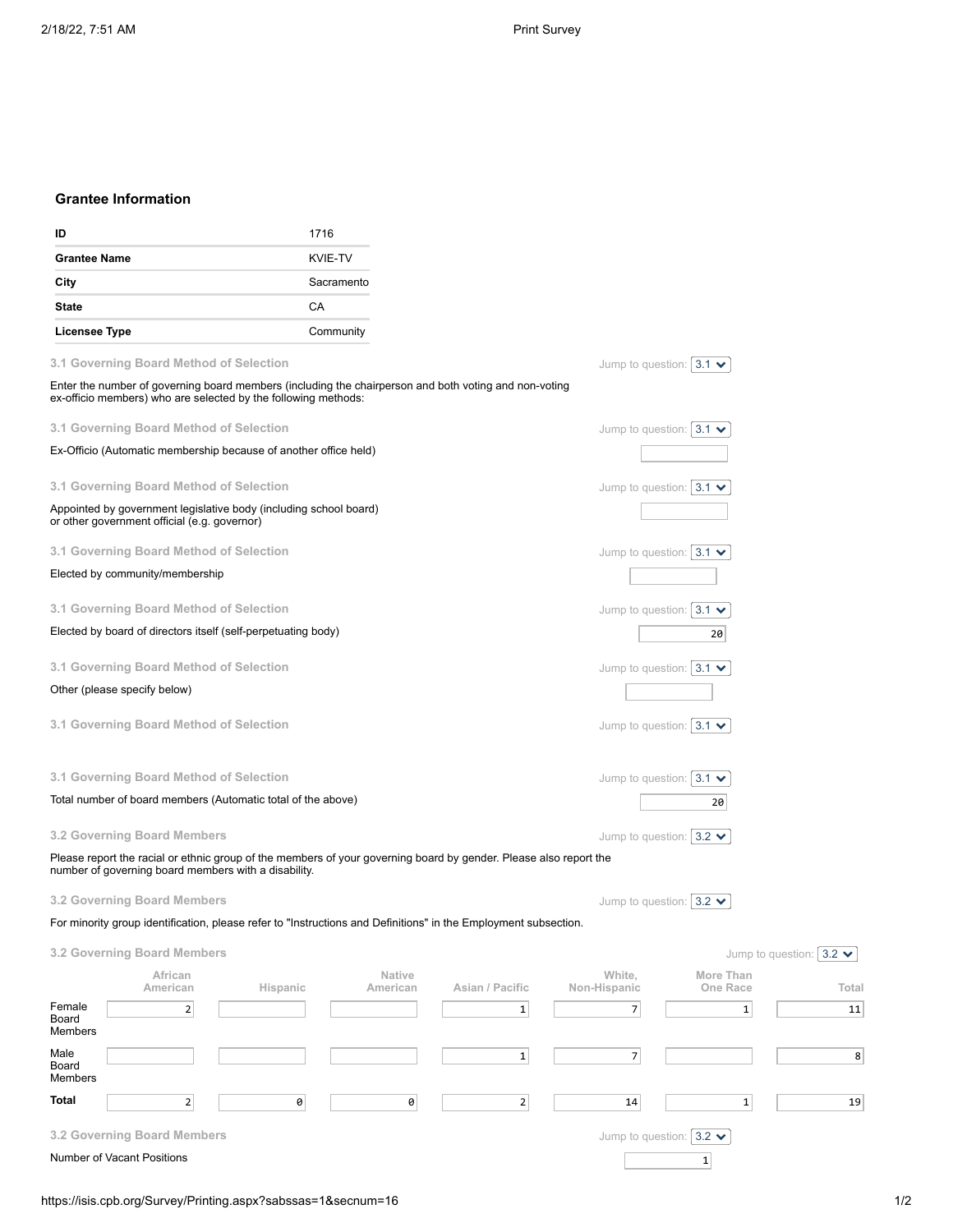## **Grantee Information**

| ID                                                                                                                |                                                                                                                                                                           |          | 1716                  |                    |                 |              |                                 |                                  |                                 |  |
|-------------------------------------------------------------------------------------------------------------------|---------------------------------------------------------------------------------------------------------------------------------------------------------------------------|----------|-----------------------|--------------------|-----------------|--------------|---------------------------------|----------------------------------|---------------------------------|--|
| <b>Grantee Name</b><br>City                                                                                       |                                                                                                                                                                           |          | KVIE-TV<br>Sacramento |                    |                 |              |                                 |                                  |                                 |  |
|                                                                                                                   |                                                                                                                                                                           |          |                       |                    |                 |              |                                 |                                  |                                 |  |
| <b>State</b>                                                                                                      |                                                                                                                                                                           |          | СA                    |                    |                 |              |                                 |                                  |                                 |  |
| <b>Licensee Type</b>                                                                                              |                                                                                                                                                                           |          | Community             |                    |                 |              |                                 |                                  |                                 |  |
|                                                                                                                   | 3.1 Governing Board Method of Selection                                                                                                                                   |          |                       |                    |                 |              |                                 | Jump to question: $ 3.1 \times$  |                                 |  |
|                                                                                                                   | Enter the number of governing board members (including the chairperson and both voting and non-voting<br>ex-officio members) who are selected by the following methods:   |          |                       |                    |                 |              |                                 |                                  |                                 |  |
|                                                                                                                   | 3.1 Governing Board Method of Selection                                                                                                                                   |          |                       |                    |                 |              |                                 | Jump to question: $ 3.1 \rangle$ |                                 |  |
| Ex-Officio (Automatic membership because of another office held)                                                  |                                                                                                                                                                           |          |                       |                    |                 |              |                                 |                                  |                                 |  |
|                                                                                                                   | 3.1 Governing Board Method of Selection                                                                                                                                   |          |                       |                    |                 |              |                                 | Jump to question: $ 3.1 \rangle$ |                                 |  |
| Appointed by government legislative body (including school board)<br>or other government official (e.g. governor) |                                                                                                                                                                           |          |                       |                    |                 |              |                                 |                                  |                                 |  |
|                                                                                                                   | 3.1 Governing Board Method of Selection                                                                                                                                   |          |                       |                    |                 |              |                                 | Jump to question: $ 3.1 \rangle$ |                                 |  |
|                                                                                                                   | Elected by community/membership                                                                                                                                           |          |                       |                    |                 |              |                                 |                                  |                                 |  |
|                                                                                                                   | 3.1 Governing Board Method of Selection                                                                                                                                   |          |                       |                    |                 |              |                                 | Jump to question: $ 3.1 \rangle$ |                                 |  |
|                                                                                                                   | Elected by board of directors itself (self-perpetuating body)                                                                                                             |          |                       |                    |                 |              |                                 | 20                               |                                 |  |
|                                                                                                                   | 3.1 Governing Board Method of Selection                                                                                                                                   |          |                       |                    |                 |              |                                 | Jump to question: $ 3.1 \times$  |                                 |  |
|                                                                                                                   | Other (please specify below)                                                                                                                                              |          |                       |                    |                 |              |                                 |                                  |                                 |  |
| 3.1 Governing Board Method of Selection                                                                           |                                                                                                                                                                           |          |                       |                    |                 |              | Jump to question: $ 3.1 \times$ |                                  |                                 |  |
|                                                                                                                   | 3.1 Governing Board Method of Selection                                                                                                                                   |          |                       |                    |                 |              |                                 | Jump to question: $ 3.1 \rangle$ |                                 |  |
| Total number of board members (Automatic total of the above)                                                      |                                                                                                                                                                           |          |                       |                    |                 |              |                                 | 20                               |                                 |  |
|                                                                                                                   | 3.2 Governing Board Members                                                                                                                                               |          |                       |                    |                 |              |                                 | Jump to question: $ 3.2 \times$  |                                 |  |
|                                                                                                                   | Please report the racial or ethnic group of the members of your governing board by gender. Please also report the<br>number of governing board members with a disability. |          |                       |                    |                 |              |                                 |                                  |                                 |  |
|                                                                                                                   | 3.2 Governing Board Members                                                                                                                                               |          |                       |                    |                 |              |                                 | Jump to question: $ 3.2 \times$  |                                 |  |
|                                                                                                                   | For minority group identification, please refer to "Instructions and Definitions" in the Employment subsection.                                                           |          |                       |                    |                 |              |                                 |                                  |                                 |  |
|                                                                                                                   | 3.2 Governing Board Members                                                                                                                                               |          |                       |                    |                 |              |                                 |                                  | Jump to question: $ 3.2 \times$ |  |
|                                                                                                                   | African<br>American                                                                                                                                                       | Hispanic |                       | Native<br>American | Asian / Pacific | Non-Hispanic | White,                          | More Than<br>One Race            | Total                           |  |
| Female                                                                                                            | $\overline{2}$                                                                                                                                                            |          |                       |                    | $\mathbf{1}$    |              | 7 <sup>1</sup>                  | $\mathbf{1}$                     | 11                              |  |
| Board<br>Members                                                                                                  |                                                                                                                                                                           |          |                       |                    |                 |              |                                 |                                  |                                 |  |

**Total** 1 2 0 0 0 2 14 1 1 19

Number of Vacant Positions 1

Male Board Members

**3.2 Governing Board Members**

Jump to question:  $\boxed{3.2 \blacktriangleright}$ 

 $1$   $7$   $1$